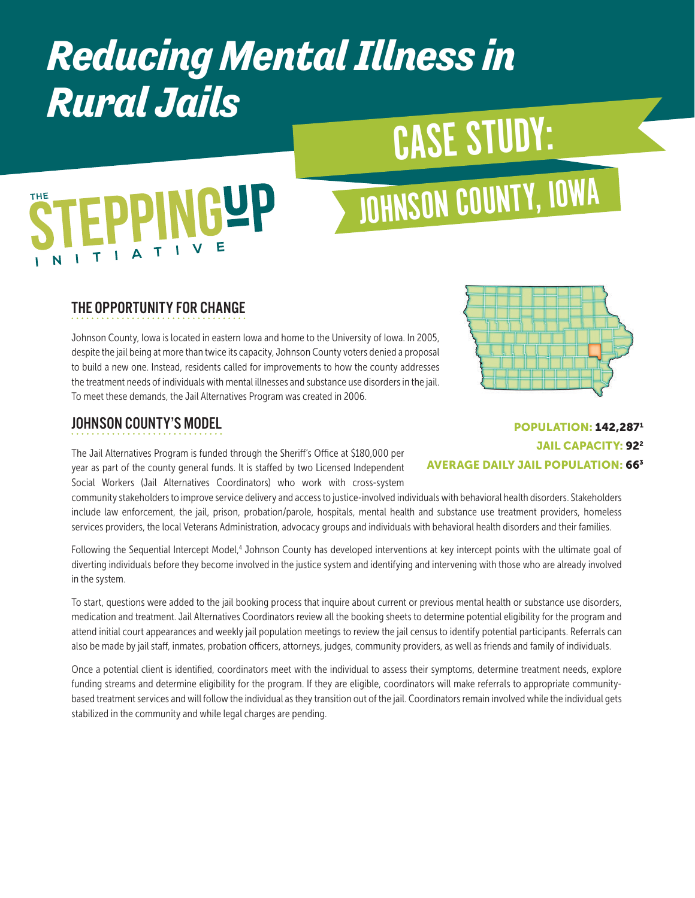### *Reducing Mental Illness in Rural Jails*

## CASE STUDY:

# **EPPINGYP**

## JOHNSON COUNTY, IOWA

#### THE OPPORTUNITY FOR CHANGE

Johnson County, Iowa is located in eastern Iowa and home to the University of Iowa. In 2005, despite the jail being at more than twice its capacity, Johnson County voters denied a proposal to build a new one. Instead, residents called for improvements to how the county addresses the treatment needs of individuals with mental illnesses and substance use disorders in the jail. To meet these demands, the Jail Alternatives Program was created in 2006.

#### JOHNSON COUNTY'S MODEL

The Jail Alternatives Program is funded through the Sheriff's Office at \$180,000 per year as part of the county general funds. It is staffed by two Licensed Independent Social Workers (Jail Alternatives Coordinators) who work with cross-system

community stakeholders to improve service delivery and access to justice-involved individuals with behavioral health disorders. Stakeholders include law enforcement, the jail, prison, probation/parole, hospitals, mental health and substance use treatment providers, homeless services providers, the local Veterans Administration, advocacy groups and individuals with behavioral health disorders and their families.

Following the Sequential Intercept Model,<sup>4</sup> Johnson County has developed interventions at key intercept points with the ultimate goal of diverting individuals before they become involved in the justice system and identifying and intervening with those who are already involved in the system.

To start, questions were added to the jail booking process that inquire about current or previous mental health or substance use disorders, medication and treatment. Jail Alternatives Coordinators review all the booking sheets to determine potential eligibility for the program and attend initial court appearances and weekly jail population meetings to review the jail census to identify potential participants. Referrals can also be made by jail staff, inmates, probation officers, attorneys, judges, community providers, as well as friends and family of individuals.

Once a potential client is identified, coordinators meet with the individual to assess their symptoms, determine treatment needs, explore funding streams and determine eligibility for the program. If they are eligible, coordinators will make referrals to appropriate communitybased treatment services and will follow the individual as they transition out of the jail. Coordinators remain involved while the individual gets stabilized in the community and while legal charges are pending.

#### POPULATION: 142,2871 **JAIL CAPACITY: 92<sup>2</sup>** AVERAGE DAILY JAIL POPULATION: 663